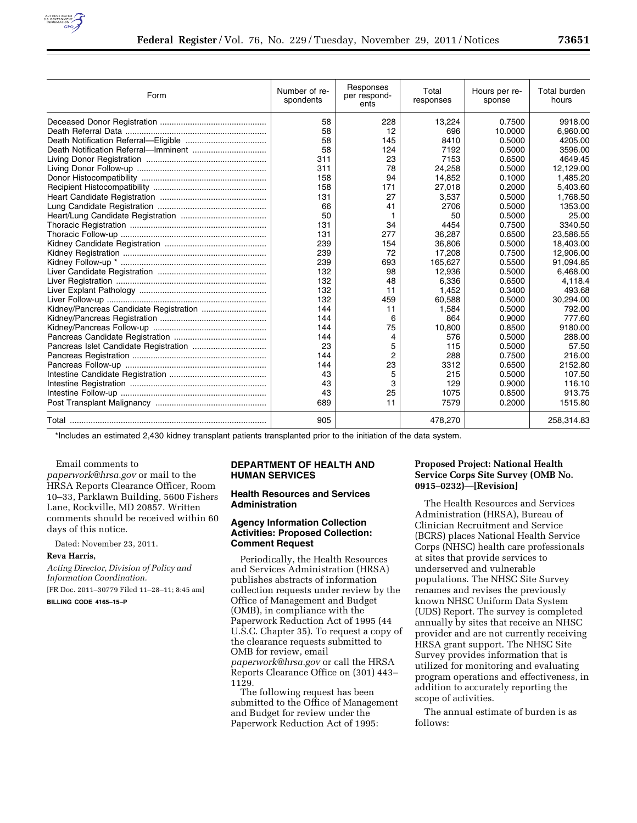

| Form                                   | Number of re-<br>spondents | Responses<br>per respond-<br>ents | Total<br>responses | Hours per re-<br>sponse | Total burden<br>hours |
|----------------------------------------|----------------------------|-----------------------------------|--------------------|-------------------------|-----------------------|
|                                        | 58                         | 228                               | 13,224             | 0.7500                  | 9918.00               |
|                                        | 58                         | 12                                | 696                | 10.0000                 | 6,960.00              |
|                                        | 58                         | 145                               | 8410               | 0.5000                  | 4205.00               |
|                                        | 58                         | 124                               | 7192               | 0.5000                  | 3596.00               |
|                                        | 311                        | 23                                | 7153               | 0.6500                  | 4649.45               |
|                                        | 311                        | 78                                | 24,258             | 0.5000                  | 12,129.00             |
|                                        | 158                        | 94                                | 14,852             | 0.1000                  | 1,485.20              |
|                                        | 158                        | 171                               | 27,018             | 0.2000                  | 5,403.60              |
|                                        | 131                        | 27                                | 3,537              | 0.5000                  | 1,768.50              |
|                                        | 66                         | 41                                | 2706               | 0.5000                  | 1353.00               |
|                                        | 50                         | 1                                 | 50                 | 0.5000                  | 25.00                 |
|                                        | 131                        | 34                                | 4454               | 0.7500                  | 3340.50               |
|                                        | 131                        | 277                               | 36,287             | 0.6500                  | 23,586.55             |
|                                        | 239                        | 154                               | 36,806             | 0.5000                  | 18,403.00             |
|                                        | 239                        | 72                                | 17,208             | 0.7500                  | 12,906.00             |
|                                        | 239                        | 693                               | 165,627            | 0.5500                  | 91,094.85             |
|                                        | 132                        | 98                                | 12,936             | 0.5000                  | 6,468.00              |
|                                        | 132                        | 48                                | 6,336              | 0.6500                  | 4,118.4               |
|                                        | 132                        | 11                                | 1,452              | 0.3400                  | 493.68                |
|                                        | 132                        | 459                               | 60,588             | 0.5000                  | 30,294.00             |
| Kidney/Pancreas Candidate Registration | 144                        | 11                                | 1,584              | 0.5000                  | 792.00                |
|                                        | 144                        | 6                                 | 864                | 0.9000                  | 777.60                |
|                                        | 144                        | 75                                | 10,800             | 0.8500                  | 9180.00               |
|                                        | 144                        | 4                                 | 576                | 0.5000                  | 288.00                |
|                                        | 23                         | 5                                 | 115                | 0.5000                  | 57.50                 |
|                                        | 144                        | 2                                 | 288                | 0.7500                  | 216.00                |
|                                        | 144                        | 23                                | 3312               | 0.6500                  | 2152.80               |
|                                        | 43                         | 5                                 | 215                | 0.5000                  | 107.50                |
|                                        | 43                         | 3                                 | 129                | 0.9000                  | 116.10                |
|                                        | 43                         | 25                                | 1075               | 0.8500                  | 913.75                |
|                                        | 689                        | 11                                | 7579               | 0.2000                  | 1515.80               |
|                                        | 905                        |                                   | 478,270            |                         | 258,314.83            |

\*Includes an estimated 2,430 kidney transplant patients transplanted prior to the initiation of the data system.

Email comments to

*[paperwork@hrsa.gov](mailto:paperwork@hrsa.gov)* or mail to the HRSA Reports Clearance Officer, Room 10–33, Parklawn Building, 5600 Fishers Lane, Rockville, MD 20857. Written comments should be received within 60 days of this notice.

Dated: November 23, 2011.

#### **Reva Harris,**

*Acting Director, Division of Policy and Information Coordination.* 

[FR Doc. 2011–30779 Filed 11–28–11; 8:45 am]

**BILLING CODE 4165–15–P** 

# **DEPARTMENT OF HEALTH AND HUMAN SERVICES**

#### **Health Resources and Services Administration**

### **Agency Information Collection Activities: Proposed Collection: Comment Request**

Periodically, the Health Resources and Services Administration (HRSA) publishes abstracts of information collection requests under review by the Office of Management and Budget (OMB), in compliance with the Paperwork Reduction Act of 1995 (44 U.S.C. Chapter 35). To request a copy of the clearance requests submitted to OMB for review, email *[paperwork@hrsa.gov](mailto:paperwork@hrsa.gov)* or call the HRSA Reports Clearance Office on (301) 443– 1129.

The following request has been submitted to the Office of Management and Budget for review under the Paperwork Reduction Act of 1995:

## **Proposed Project: National Health Service Corps Site Survey (OMB No. 0915–0232)—[Revision]**

The Health Resources and Services Administration (HRSA), Bureau of Clinician Recruitment and Service (BCRS) places National Health Service Corps (NHSC) health care professionals at sites that provide services to underserved and vulnerable populations. The NHSC Site Survey renames and revises the previously known NHSC Uniform Data System (UDS) Report. The survey is completed annually by sites that receive an NHSC provider and are not currently receiving HRSA grant support. The NHSC Site Survey provides information that is utilized for monitoring and evaluating program operations and effectiveness, in addition to accurately reporting the scope of activities.

The annual estimate of burden is as follows: